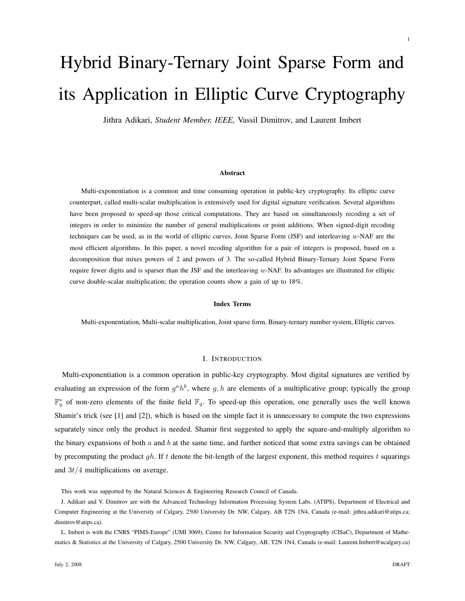# Hybrid Binary-Ternary Joint Sparse Form and its Application in Elliptic Curve Cryptography

Jithra Adikari, *Student Member, IEEE,* Vassil Dimitrov, and Laurent Imbert

#### Abstract

Multi-exponentiation is a common and time consuming operation in public-key cryptography. Its elliptic curve counterpart, called multi-scalar multiplication is extensively used for digital signature verification. Several algorithms have been proposed to speed-up those critical computations. They are based on simultaneously recoding a set of integers in order to minimize the number of general multiplications or point additions. When signed-digit recoding techniques can be used, as in the world of elliptic curves, Joint Sparse Form (JSF) and interleaving w-NAF are the most efficient algorithms. In this paper, a novel recoding algorithm for a pair of integers is proposed, based on a decomposition that mixes powers of 2 and powers of 3. The so-called Hybrid Binary-Ternary Joint Sparse Form require fewer digits and is sparser than the JSF and the interleaving w-NAF. Its advantages are illustrated for elliptic curve double-scalar multiplication; the operation counts show a gain of up to 18%.

#### Index Terms

Multi-exponentiation, Multi-scalar multiplication, Joint sparse form, Binary-ternary number system, Elliptic curves.

### I. INTRODUCTION

Multi-exponentiation is a common operation in public-key cryptography. Most digital signatures are verified by evaluating an expression of the form  $g^a h^b$ , where g, h are elements of a multiplicative group; typically the group  $\mathbb{F}_q^*$  of non-zero elements of the finite field  $\mathbb{F}_q$ . To speed-up this operation, one generally uses the well known Shamir's trick (see [1] and [2]), which is based on the simple fact it is unnecessary to compute the two expressions separately since only the product is needed. Shamir first suggested to apply the square-and-multiply algorithm to the binary expansions of both  $a$  and  $b$  at the same time, and further noticed that some extra savings can be obtained by precomputing the product  $qh$ . If t denote the bit-length of the largest exponent, this method requires t squarings and  $3t/4$  multiplications on average.

This work was supported by the Natural Sciences & Engineering Research Council of Canada.

J. Adikari and V. Dimitrov are with the Advanced Technology Information Processing System Labs. (ATIPS), Department of Electrical and Computer Engineering at the University of Calgary, 2500 University Dr. NW, Calgary, AB T2N 1N4, Canada (e-mail: jithra.adikari@atips.ca; dimitrov@atips.ca).

L. Imbert is with the CNRS "PIMS-Europe" (UMI 3069), Centre for Information Security and Cryptography (CISaC), Department of Mathematics & Statistics at the University of Calgary, 2500 University Dr. NW, Calgary, AB, T2N 1N4, Canada (e-mail: Laurent.Imbert@ucalgary.ca)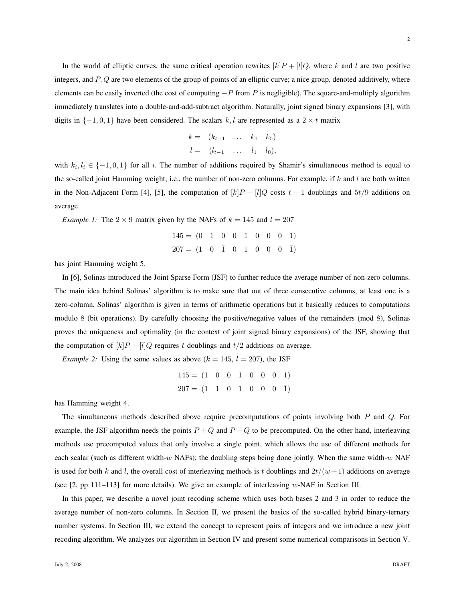In the world of elliptic curves, the same critical operation rewrites  $[k]P + [l]Q$ , where k and l are two positive integers, and  $P$ ,  $Q$  are two elements of the group of points of an elliptic curve; a nice group, denoted additively, where elements can be easily inverted (the cost of computing  $-P$  from P is negligible). The square-and-multiply algorithm immediately translates into a double-and-add-subtract algorithm. Naturally, joint signed binary expansions [3], with digits in  $\{-1, 0, 1\}$  have been considered. The scalars k, l are represented as a 2  $\times t$  matrix

$$
k = (k_{t-1} \ldots k_1 k_0) l = (l_{t-1} \ldots l_1 l_0),
$$

with  $k_i, l_i \in \{-1, 0, 1\}$  for all i. The number of additions required by Shamir's simultaneous method is equal to the so-called joint Hamming weight; i.e., the number of non-zero columns. For example, if  $k$  and  $l$  are both written in the Non-Adjacent Form [4], [5], the computation of  $[k]P + [l]Q$  costs  $t + 1$  doublings and  $5t/9$  additions on average.

*Example 1:* The  $2 \times 9$  matrix given by the NAFs of  $k = 145$  and  $l = 207$ 

$$
145 = (0 \quad 1 \quad 0 \quad 0 \quad 1 \quad 0 \quad 0 \quad 0 \quad 1)
$$

$$
207 = (1 \quad 0 \quad \bar{1} \quad 0 \quad 1 \quad 0 \quad 0 \quad 0 \quad \bar{1})
$$

has joint Hamming weight 5.

In [6], Solinas introduced the Joint Sparse Form (JSF) to further reduce the average number of non-zero columns. The main idea behind Solinas' algorithm is to make sure that out of three consecutive columns, at least one is a zero-column. Solinas' algorithm is given in terms of arithmetic operations but it basically reduces to computations modulo 8 (bit operations). By carefully choosing the positive/negative values of the remainders (mod 8), Solinas proves the uniqueness and optimality (in the context of joint signed binary expansions) of the JSF, showing that the computation of  $[k]P + [l]Q$  requires t doublings and  $t/2$  additions on average.

*Example 2:* Using the same values as above  $(k = 145, l = 207)$ , the JSF

$$
145 = (1 \ 0 \ 0 \ 1 \ 0 \ 0 \ 0 \ 1)
$$

$$
207 = (1 \ 1 \ 0 \ 1 \ 0 \ 0 \ 0 \ 0)]
$$

has Hamming weight 4.

The simultaneous methods described above require precomputations of points involving both  $P$  and  $Q$ . For example, the JSF algorithm needs the points  $P + Q$  and  $P - Q$  to be precomputed. On the other hand, interleaving methods use precomputed values that only involve a single point, which allows the use of different methods for each scalar (such as different width-w NAFs); the doubling steps being done jointly. When the same width-w NAF is used for both k and l, the overall cost of interleaving methods is t doublings and  $2t/(w+1)$  additions on average (see  $[2, pp 111-113]$  for more details). We give an example of interleaving w-NAF in Section III.

In this paper, we describe a novel joint recoding scheme which uses both bases 2 and 3 in order to reduce the average number of non-zero columns. In Section II, we present the basics of the so-called hybrid binary-ternary number systems. In Section III, we extend the concept to represent pairs of integers and we introduce a new joint recoding algorithm. We analyzes our algorithm in Section IV and present some numerical comparisons in Section V.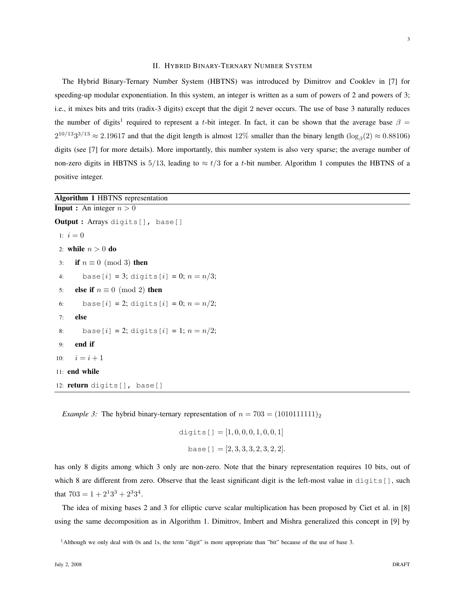### II. HYBRID BINARY-TERNARY NUMBER SYSTEM

The Hybrid Binary-Ternary Number System (HBTNS) was introduced by Dimitrov and Cooklev in [7] for speeding-up modular exponentiation. In this system, an integer is written as a sum of powers of 2 and powers of 3; i.e., it mixes bits and trits (radix-3 digits) except that the digit 2 never occurs. The use of base 3 naturally reduces the number of digits<sup>1</sup> required to represent a t-bit integer. In fact, it can be shown that the average base  $\beta =$  $2^{10/13}3^{3/13} \approx 2.19617$  and that the digit length is almost 12% smaller than the binary length  $(\log_{\beta}(2) \approx 0.88106)$ digits (see [7] for more details). More importantly, this number system is also very sparse; the average number of non-zero digits in HBTNS is 5/13, leading to  $\approx t/3$  for a t-bit number. Algorithm 1 computes the HBTNS of a positive integer.

Algorithm 1 HBTNS representation

```
Input : An integer n > 0Output : Arrays digits[], base[]
 1: i = 02: while n > 0 do
 3: if n \equiv 0 \pmod{3} then
 4: base[i] = 3; digits[i] = 0; n = n/3;
 5: else if n \equiv 0 \pmod{2} then
 6: base[i] = 2; digits[i] = 0; n = n/2;
 7: else
 8: base[i] = 2; digits[i] = 1; n = n/2;
 9: end if
10: i = i + 111: end while
12: return digits[], base[]
```
*Example 3:* The hybrid binary-ternary representation of  $n = 703 = (1010111111)_2$ 

digits  $[ ] = [1, 0, 0, 0, 1, 0, 0, 1]$ base $[ ] = [2, 3, 3, 3, 2, 3, 2, 2].$ 

has only 8 digits among which 3 only are non-zero. Note that the binary representation requires 10 bits, out of which 8 are different from zero. Observe that the least significant digit is the left-most value in  $diqits[$ , such that  $703 = 1 + 2<sup>1</sup>3<sup>3</sup> + 2<sup>3</sup>3<sup>4</sup>$ .

The idea of mixing bases 2 and 3 for elliptic curve scalar multiplication has been proposed by Ciet et al. in [8] using the same decomposition as in Algorithm 1. Dimitrov, Imbert and Mishra generalized this concept in [9] by

<sup>1</sup>Although we only deal with 0s and 1s, the term "digit" is more appropriate than "bit" because of the use of base 3.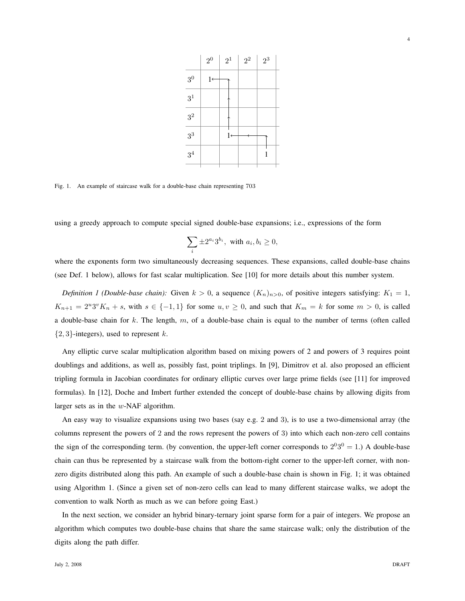

Fig. 1. An example of staircase walk for a double-base chain representing 703

using a greedy approach to compute special signed double-base expansions; i.e., expressions of the form

3 0

3 1

3 2

3 3

 $3<sup>4</sup>$ 

$$
\sum_i \pm 2^{a_i} 3^{b_i}, \text{ with } a_i, b_i \ge 0,
$$

where the exponents form two simultaneously decreasing sequences. These expansions, called double-base chains (see Def. 1 below), allows for fast scalar multiplication. See [10] for more details about this number system.

*Definition 1 (Double-base chain):* Given  $k > 0$ , a sequence  $(K_n)_{n>0}$ , of positive integers satisfying:  $K_1 = 1$ ,  $K_{n+1} = 2^u 3^v K_n + s$ , with  $s \in \{-1,1\}$  for some  $u, v \ge 0$ , and such that  $K_m = k$  for some  $m > 0$ , is called a double-base chain for k. The length,  $m$ , of a double-base chain is equal to the number of terms (often called  $\{2, 3\}$ -integers), used to represent k.

Any elliptic curve scalar multiplication algorithm based on mixing powers of 2 and powers of 3 requires point doublings and additions, as well as, possibly fast, point triplings. In [9], Dimitrov et al. also proposed an efficient tripling formula in Jacobian coordinates for ordinary elliptic curves over large prime fields (see [11] for improved formulas). In [12], Doche and Imbert further extended the concept of double-base chains by allowing digits from larger sets as in the w-NAF algorithm.

An easy way to visualize expansions using two bases (say e.g. 2 and 3), is to use a two-dimensional array (the columns represent the powers of 2 and the rows represent the powers of 3) into which each non-zero cell contains the sign of the corresponding term. (by convention, the upper-left corner corresponds to  $2^{0}3^{0} = 1$ .) A double-base chain can thus be represented by a staircase walk from the bottom-right corner to the upper-left corner, with nonzero digits distributed along this path. An example of such a double-base chain is shown in Fig. 1; it was obtained using Algorithm 1. (Since a given set of non-zero cells can lead to many different staircase walks, we adopt the convention to walk North as much as we can before going East.)

In the next section, we consider an hybrid binary-ternary joint sparse form for a pair of integers. We propose an algorithm which computes two double-base chains that share the same staircase walk; only the distribution of the digits along the path differ.

4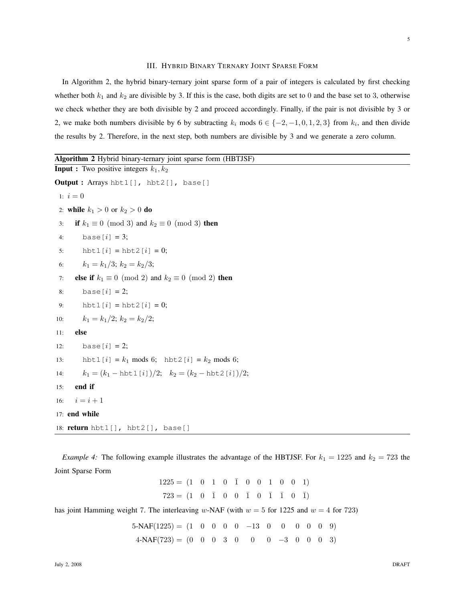#### III. HYBRID BINARY TERNARY JOINT SPARSE FORM

In Algorithm 2, the hybrid binary-ternary joint sparse form of a pair of integers is calculated by first checking whether both  $k_1$  and  $k_2$  are divisible by 3. If this is the case, both digits are set to 0 and the base set to 3, otherwise we check whether they are both divisible by 2 and proceed accordingly. Finally, if the pair is not divisible by 3 or 2, we make both numbers divisible by 6 by subtracting  $k_i$  mods  $6 \in \{-2, -1, 0, 1, 2, 3\}$  from  $k_i$ , and then divide the results by 2. Therefore, in the next step, both numbers are divisible by 3 and we generate a zero column.

```
Algorithm 2 Hybrid binary-ternary joint sparse form (HBTJSF)
Input : Two positive integers k_1, k_2Output : Arrays hbt1[], hbt2[], base[]
 1: i = 02: while k_1 > 0 or k_2 > 0 do
 3: if k_1 \equiv 0 \pmod{3} and k_2 \equiv 0 \pmod{3} then
 4: base[i] = 3;5: hbt1[i] = hbt2[i] = 0;6: k_1 = k_1/3; k_2 = k_2/3;
 7: else if k_1 \equiv 0 \pmod{2} and k_2 \equiv 0 \pmod{2} then
 8: base[i] = 2;9: hbt1[i] = hbt2[i] = 0;
10: k_1 = k_1/2; k_2 = k_2/2;
11: else
12: base[i] = 2;13: hbt1[i] = k_1 \text{ mod } 6; hbt2[i] = k_2 \text{ mod } 6;
14: k_1 = (k_1 - \text{hbt1}[i])/2; k_2 = (k_2 - \text{hbt2}[i])/2;15: end if
16: i = i + 117: end while
18: return hbt1[], hbt2[], base[]
```
*Example 4:* The following example illustrates the advantage of the HBTJSF. For  $k_1 = 1225$  and  $k_2 = 723$  the Joint Sparse Form

$$
1225 = (1 \ 0 \ 1 \ 0 \ \overline{1} \ 0 \ 0 \ 1 \ 0 \ 0 \ 1)
$$

$$
723 = (1 \ 0 \ \overline{1} \ 0 \ 0 \ \overline{1} \ 0 \ \overline{1} \ \overline{1} \ 0 \ \overline{1})
$$

has joint Hamming weight 7. The interleaving w-NAF (with  $w = 5$  for 1225 and  $w = 4$  for 723)

 $5-NAF(1225) = (1 \ 0 \ 0 \ 0 \ 0 \ -13 \ 0 \ 0 \ 0 \ 0 \ 0 \ 9)$  $4-NAF(723) = (0 \t0 \t0 \t3 \t0 \t0 \t-3 \t0 \t0 \t3)$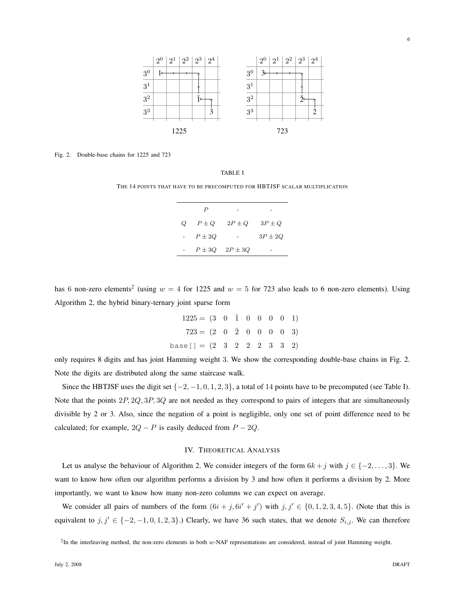

Fig. 2. Double-base chains for 1225 and 723

THE 14 POINTS THAT HAVE TO BE PRECOMPUTED FOR HBTJSF SCALAR MULTIPLICATION

|   | P          |                        |             |
|---|------------|------------------------|-------------|
| O | $P \pm Q$  | $2P \pm Q$             | $3P \pm Q$  |
|   | $P \pm 2Q$ |                        | $3P \pm 2Q$ |
|   |            | $P \pm 3Q$ $2P \pm 3Q$ |             |

has 6 non-zero elements<sup>2</sup> (using  $w = 4$  for 1225 and  $w = 5$  for 723 also leads to 6 non-zero elements). Using Algorithm 2, the hybrid binary-ternary joint sparse form

| $1225 = (3 \t 0 \t 1 \t 0 \t 0 \t 0 \t 1)$               |  |  |  |  |
|----------------------------------------------------------|--|--|--|--|
| $723 = (2 \ 0 \ \ \overline{2} \ 0 \ 0 \ 0 \ 0 \ 0 \ 3)$ |  |  |  |  |
| base[] = $(2 \t3 \t2 \t2 \t3 \t3 \t3 \t2)$               |  |  |  |  |

only requires 8 digits and has joint Hamming weight 3. We show the corresponding double-base chains in Fig. 2. Note the digits are distributed along the same staircase walk.

Since the HBTJSF uses the digit set  $\{-2, -1, 0, 1, 2, 3\}$ , a total of 14 points have to be precomputed (see Table I). Note that the points 2P, 2Q, 3P, 3Q are not needed as they correspond to pairs of integers that are simultaneously divisible by 2 or 3. Also, since the negation of a point is negligible, only one set of point difference need to be calculated; for example,  $2Q - P$  is easily deduced from  $P - 2Q$ .

## IV. THEORETICAL ANALYSIS

Let us analyse the behaviour of Algorithm 2. We consider integers of the form  $6k + j$  with  $j \in \{-2, \ldots, 3\}$ . We want to know how often our algorithm performs a division by 3 and how often it performs a division by 2. More importantly, we want to know how many non-zero columns we can expect on average.

We consider all pairs of numbers of the form  $(6i + j, 6i' + j')$  with  $j, j' \in \{0, 1, 2, 3, 4, 5\}$ . (Note that this is equivalent to  $j, j' \in \{-2, -1, 0, 1, 2, 3\}$ .) Clearly, we have 36 such states, that we denote  $S_{i,j}$ . We can therefore

<sup>&</sup>lt;sup>2</sup>In the interleaving method, the non-zero elements in both w-NAF representations are considered, instead of joint Hamming weight.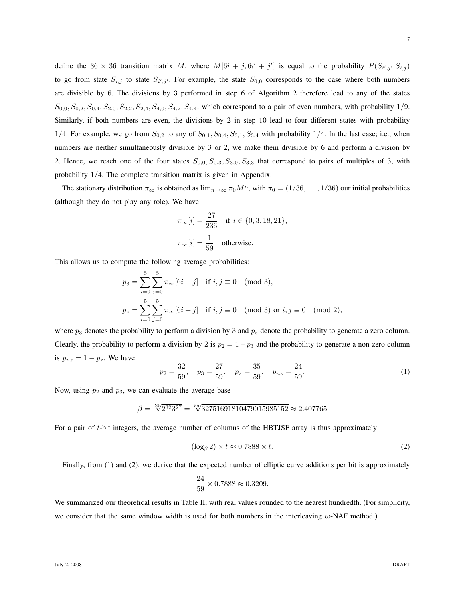define the 36  $\times$  36 transition matrix M, where  $M[6i + j, 6i' + j']$  is equal to the probability  $P(S_{i',j'}|S_{i,j})$ to go from state  $S_{i,j}$  to state  $S_{i',j'}$ . For example, the state  $S_{0,0}$  corresponds to the case where both numbers are divisible by 6. The divisions by 3 performed in step 6 of Algorithm 2 therefore lead to any of the states  $S_{0,0}, S_{0,2}, S_{0,4}, S_{2,0}, S_{2,2}, S_{2,4}, S_{4,0}, S_{4,2}, S_{4,4}$ , which correspond to a pair of even numbers, with probability 1/9. Similarly, if both numbers are even, the divisions by 2 in step 10 lead to four different states with probability 1/4. For example, we go from  $S_{0,2}$  to any of  $S_{0,1}$ ,  $S_{0,4}$ ,  $S_{3,1}$ ,  $S_{3,4}$  with probability 1/4. In the last case; i.e., when numbers are neither simultaneously divisible by 3 or 2, we make them divisible by 6 and perform a division by 2. Hence, we reach one of the four states  $S_{0,0}$ ,  $S_{0,3}$ ,  $S_{3,0}$ ,  $S_{3,3}$  that correspond to pairs of multiples of 3, with probability 1/4. The complete transition matrix is given in Appendix.

The stationary distribution  $\pi_{\infty}$  is obtained as  $\lim_{n\to\infty} \pi_0 M^n$ , with  $\pi_0 = (1/36, \ldots, 1/36)$  our initial probabilities (although they do not play any role). We have

$$
\pi_{\infty}[i] = \frac{27}{236} \quad \text{if } i \in \{0, 3, 18, 21\},
$$
  

$$
\pi_{\infty}[i] = \frac{1}{59} \quad \text{otherwise.}
$$

This allows us to compute the following average probabilities:

$$
p_3 = \sum_{i=0}^{5} \sum_{j=0}^{5} \pi_{\infty} [6i + j] \text{ if } i, j \equiv 0 \pmod{3},
$$
  

$$
p_z = \sum_{i=0}^{5} \sum_{j=0}^{5} \pi_{\infty} [6i + j] \text{ if } i, j \equiv 0 \pmod{3} \text{ or } i, j \equiv 0 \pmod{2},
$$

where  $p_3$  denotes the probability to perform a division by 3 and  $p_z$  denote the probability to generate a zero column. Clearly, the probability to perform a division by 2 is  $p_2 = 1-p_3$  and the probability to generate a non-zero column is  $p_{nz} = 1 - p_z$ . We have

$$
p_2 = \frac{32}{59}, \quad p_3 = \frac{27}{59}, \quad p_z = \frac{35}{59}, \quad p_{nz} = \frac{24}{59}.
$$
 (1)

Now, using  $p_2$  and  $p_3$ , we can evaluate the average base

$$
\beta = \sqrt[59]{2^{32}3^{27}} = \sqrt[59]{32751691810479015985152} \approx 2.407765
$$

For a pair of t-bit integers, the average number of columns of the HBTJSF array is thus approximately

$$
(\log_{\beta} 2) \times t \approx 0.7888 \times t. \tag{2}
$$

Finally, from (1) and (2), we derive that the expected number of elliptic curve additions per bit is approximately

$$
\frac{24}{59} \times 0.7888 \approx 0.3209.
$$

We summarized our theoretical results in Table II, with real values rounded to the nearest hundredth. (For simplicity, we consider that the same window width is used for both numbers in the interleaving  $w$ -NAF method.)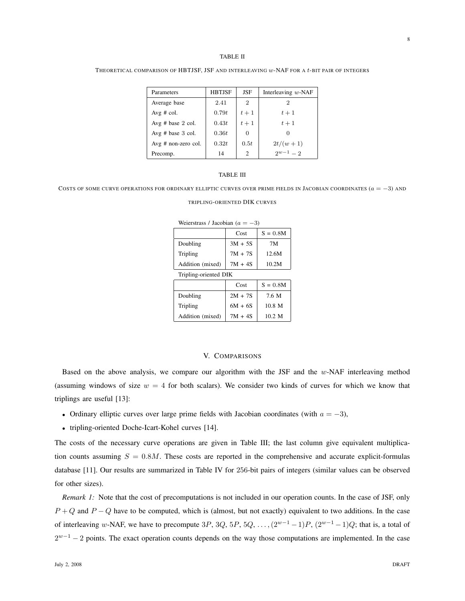#### TABLE II

THEORETICAL COMPARISON OF HBTJSF, JSF AND INTERLEAVING w-NAF FOR A t-BIT PAIR OF INTEGERS

| Parameters            | <b>HBTJSF</b> | JSF   | Interleaving $w$ -NAF |
|-----------------------|---------------|-------|-----------------------|
| Average base          | 2.41          | 2     | 2                     |
| Avg # col.            | 0.79t         | $t+1$ | $t+1$                 |
| Avg $#$ base 2 col.   | 0.43t         | $t+1$ | $t+1$                 |
| Avg $#$ base 3 col.   | 0.36t         | 0     | O                     |
| $Avg$ # non-zero col. | 0.32t         | 0.5t  | $2t/(w+1)$            |
| Precomp.              | 14            | 2     | $2w-1=2$              |

## TABLE III

COSTS OF SOME CURVE OPERATIONS FOR ORDINARY ELLIPTIC CURVES OVER PRIME FIELDS IN JACOBIAN COORDINATES  $(a = -3)$  and

| Weierstrass / Jacobian ( $a = -3$ ) |  |  |
|-------------------------------------|--|--|
|                                     |  |  |

|                       | Cost      | $S = 0.8M$       |  |  |  |  |  |  |  |
|-----------------------|-----------|------------------|--|--|--|--|--|--|--|
| Doubling              | $3M + 5S$ | 7M               |  |  |  |  |  |  |  |
| Tripling              | $7M + 7S$ | 12.6M            |  |  |  |  |  |  |  |
| Addition (mixed)      | $7M + 4S$ | 10.2M            |  |  |  |  |  |  |  |
| Tripling-oriented DIK |           |                  |  |  |  |  |  |  |  |
|                       | Cost      | $S = 0.8M$       |  |  |  |  |  |  |  |
| Doubling              | $2M + 7S$ | 7.6 M            |  |  |  |  |  |  |  |
| Tripling              | $6M + 6S$ | $10.8$ M         |  |  |  |  |  |  |  |
| Addition (mixed)      | $7M + 4S$ | $10.2 \text{ M}$ |  |  |  |  |  |  |  |

## V. COMPARISONS

Based on the above analysis, we compare our algorithm with the JSF and the w-NAF interleaving method (assuming windows of size  $w = 4$  for both scalars). We consider two kinds of curves for which we know that triplings are useful [13]:

- Ordinary elliptic curves over large prime fields with Jacobian coordinates (with  $a = -3$ ),
- tripling-oriented Doche-Icart-Kohel curves [14].

The costs of the necessary curve operations are given in Table III; the last column give equivalent multiplication counts assuming  $S = 0.8M$ . These costs are reported in the comprehensive and accurate explicit-formulas database [11]. Our results are summarized in Table IV for 256-bit pairs of integers (similar values can be observed for other sizes).

*Remark 1:* Note that the cost of precomputations is not included in our operation counts. In the case of JSF, only  $P + Q$  and  $P - Q$  have to be computed, which is (almost, but not exactly) equivalent to two additions. In the case of interleaving w-NAF, we have to precompute 3P, 3Q, 5P, 5Q, ...,  $(2^{w-1}-1)P$ ,  $(2^{w-1}-1)Q$ ; that is, a total of  $2^{w-1}$  – 2 points. The exact operation counts depends on the way those computations are implemented. In the case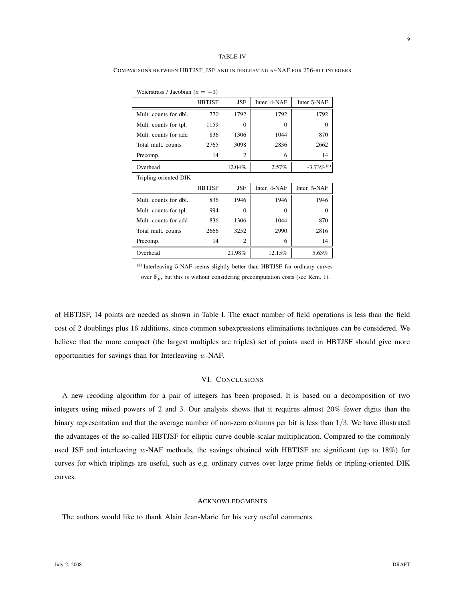#### TABLE IV

COMPARISONS BETWEEN HBTJSF, JSF AND INTERLEAVING w-NAF FOR 256-BIT INTEGERS

| Weierstrass / Jacobian ( $a = -3$ ) |               |          |              |                          |  |  |  |  |  |  |  |  |
|-------------------------------------|---------------|----------|--------------|--------------------------|--|--|--|--|--|--|--|--|
|                                     | <b>HBTJSF</b> | JSF      | Inter. 4-NAF | Inter 5-NAF              |  |  |  |  |  |  |  |  |
| Mult. counts for dbl.               | 770           | 1792     | 1792         | 1792                     |  |  |  |  |  |  |  |  |
| Mult. counts for tpl.               | 1159          | $\Omega$ | $\Omega$     | 0                        |  |  |  |  |  |  |  |  |
| Mult. counts for add                | 836           | 1306     | 1044         | 870                      |  |  |  |  |  |  |  |  |
| Total mult. counts                  | 2765          | 3098     | 2836         | 2662                     |  |  |  |  |  |  |  |  |
| Precomp.                            | 14            | 2        | 6            | 14                       |  |  |  |  |  |  |  |  |
| Overhead                            |               | 12.04%   | $2.57\%$     | $-3.73\%$ <sup>(a)</sup> |  |  |  |  |  |  |  |  |
| Tripling-oriented DIK               |               |          |              |                          |  |  |  |  |  |  |  |  |
|                                     | <b>HBTJSF</b> | JSF      | Inter. 4-NAF | Inter. 5-NAF             |  |  |  |  |  |  |  |  |
| Mult. counts for dbl.               | 836           | 1946     | 1946         | 1946                     |  |  |  |  |  |  |  |  |
| Mult. counts for tpl.               | 994           | $\Omega$ | $\Omega$     | 0                        |  |  |  |  |  |  |  |  |
| Mult. counts for add                | 836           | 1306     | 1044         | 870                      |  |  |  |  |  |  |  |  |
| Total mult. counts                  | 2666          | 3252     | 2990         | 2816                     |  |  |  |  |  |  |  |  |
| Precomp.                            | 14            | 2        | 6            | 14                       |  |  |  |  |  |  |  |  |
| Overhead                            |               | 21.98%   | 12.15%       | 5.63%                    |  |  |  |  |  |  |  |  |

(a) Interleaving 5-NAF seems slightly better than HBTJSF for ordinary curves over  $\mathbb{F}_p$ , but this is without considering precomputation costs (see Rem. 1).

of HBTJSF, 14 points are needed as shown in Table I. The exact number of field operations is less than the field cost of 2 doublings plus 16 additions, since common subexpressions eliminations techniques can be considered. We believe that the more compact (the largest multiples are triples) set of points used in HBTJSF should give more opportunities for savings than for Interleaving w-NAF.

## VI. CONCLUSIONS

A new recoding algorithm for a pair of integers has been proposed. It is based on a decomposition of two integers using mixed powers of 2 and 3. Our analysis shows that it requires almost 20% fewer digits than the binary representation and that the average number of non-zero columns per bit is less than 1/3. We have illustrated the advantages of the so-called HBTJSF for elliptic curve double-scalar multiplication. Compared to the commonly used JSF and interleaving w-NAF methods, the savings obtained with HBTJSF are significant (up to 18%) for curves for which triplings are useful, such as e.g. ordinary curves over large prime fields or tripling-oriented DIK curves.

## ACKNOWLEDGMENTS

The authors would like to thank Alain Jean-Marie for his very useful comments.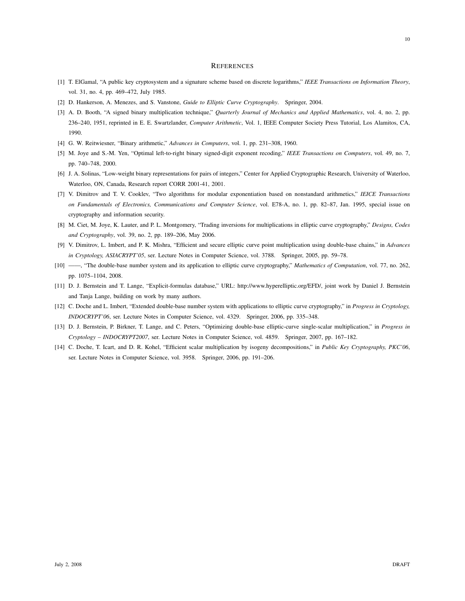#### **REFERENCES**

- [1] T. ElGamal, "A public key cryptosystem and a signature scheme based on discrete logarithms," *IEEE Transactions on Information Theory*, vol. 31, no. 4, pp. 469–472, July 1985.
- [2] D. Hankerson, A. Menezes, and S. Vanstone, *Guide to Elliptic Curve Cryptography*. Springer, 2004.
- [3] A. D. Booth, "A signed binary multiplication technique," *Quarterly Journal of Mechanics and Applied Mathematics*, vol. 4, no. 2, pp. 236–240, 1951, reprinted in E. E. Swartzlander, *Computer Arithmetic*, Vol. 1, IEEE Computer Society Press Tutorial, Los Alamitos, CA, 1990.
- [4] G. W. Reitwiesner, "Binary arithmetic," *Advances in Computers*, vol. 1, pp. 231–308, 1960.
- [5] M. Joye and S.-M. Yen, "Optimal left-to-right binary signed-digit exponent recoding," *IEEE Transactions on Computers*, vol. 49, no. 7, pp. 740–748, 2000.
- [6] J. A. Solinas, "Low-weight binary representations for pairs of integers," Center for Applied Cryptographic Research, University of Waterloo, Waterloo, ON, Canada, Research report CORR 2001-41, 2001.
- [7] V. Dimitrov and T. V. Cooklev, "Two algorithms for modular exponentiation based on nonstandard arithmetics," *IEICE Transactions on Fundamentals of Electronics, Communications and Computer Science*, vol. E78-A, no. 1, pp. 82–87, Jan. 1995, special issue on cryptography and information security.
- [8] M. Ciet, M. Joye, K. Lauter, and P. L. Montgomery, "Trading inversions for multiplications in elliptic curve cryptography," *Designs, Codes and Cryptography*, vol. 39, no. 2, pp. 189–206, May 2006.
- [9] V. Dimitrov, L. Imbert, and P. K. Mishra, "Efficient and secure elliptic curve point multiplication using double-base chains," in *Advances in Cryptology, ASIACRYPT'05*, ser. Lecture Notes in Computer Science, vol. 3788. Springer, 2005, pp. 59–78.
- [10] ——, "The double-base number system and its application to elliptic curve cryptography," *Mathematics of Computation*, vol. 77, no. 262, pp. 1075–1104, 2008.
- [11] D. J. Bernstein and T. Lange, "Explicit-formulas database," URL: http://www.hyperelliptic.org/EFD/, joint work by Daniel J. Bernstein and Tanja Lange, building on work by many authors.
- [12] C. Doche and L. Imbert, "Extended double-base number system with applications to elliptic curve cryptography," in *Progress in Cryptology, INDOCRYPT'06*, ser. Lecture Notes in Computer Science, vol. 4329. Springer, 2006, pp. 335–348.
- [13] D. J. Bernstein, P. Birkner, T. Lange, and C. Peters, "Optimizing double-base elliptic-curve single-scalar multiplication," in *Progress in Cryptology – INDOCRYPT2007*, ser. Lecture Notes in Computer Science, vol. 4859. Springer, 2007, pp. 167–182.
- [14] C. Doche, T. Icart, and D. R. Kohel, "Efficient scalar multiplication by isogeny decompositions," in *Public Key Cryptography, PKC'06*, ser. Lecture Notes in Computer Science, vol. 3958. Springer, 2006, pp. 191–206.